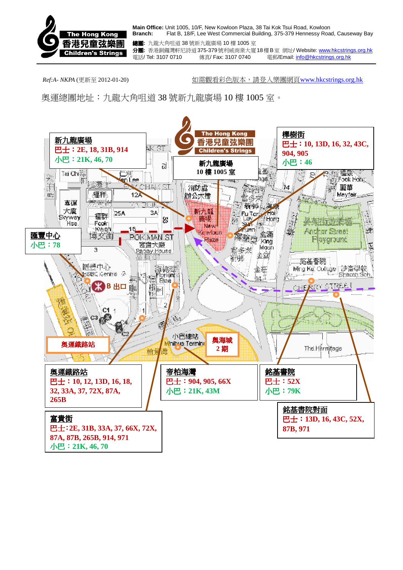

**Main Office:** Unit 1005, 10/F, New Kowloon Plaza, 38 Tai Kok Tsui Road, Kowloon **Branch:** Flat B, 18/F, Lee West Commercial Building, 375-379 Hennessy Road, Causeway Bay

總團**:** 九龍大角咀道 38 號新九龍廣場 10 樓 1005 室 分團**:** 香港銅鑼灣軒尼詩道375-379號利威商業大廈18樓B室 網址/ Website: www.hkcstrings.org.hk 電話/ Tel: 3107 0710 傳真/ Fax: 3107 0740 電郵/Email: info@hkcstrings.org.hk

*Ref:A- NKPA* (更新至 2012-01-20)如需觀看彩色版本,請登入樂團網頁www.hkcstrings.org.hk

奧運總團地址:九龍大角咀道 38 號新九龍廣場 10 樓 1005 室。